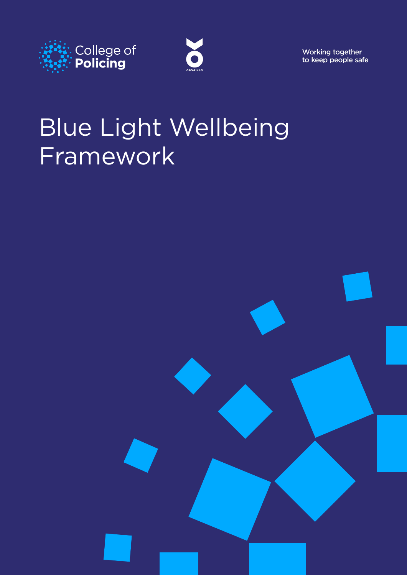



Working together to keep people safe

# Blue Light Wellbeing Framework

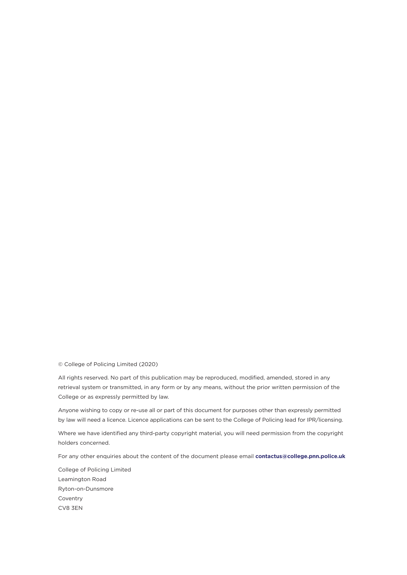© College of Policing Limited (2020)

All rights reserved. No part of this publication may be reproduced, modified, amended, stored in any retrieval system or transmitted, in any form or by any means, without the prior written permission of the College or as expressly permitted by law.

Anyone wishing to copy or re-use all or part of this document for purposes other than expressly permitted by law will need a licence. Licence applications can be sent to the College of Policing lead for IPR/licensing.

Where we have identified any third-party copyright material, you will need permission from the copyright holders concerned.

For any other enquiries about the content of the document please email **[contactus@college.pnn.police.uk](mailto:contactus%40college.pnn.police.uk?subject=Officer%20and%20Staff%20Safety%20Review)**

College of Policing Limited Leamington Road Ryton-on-Dunsmore Coventry CV8 3EN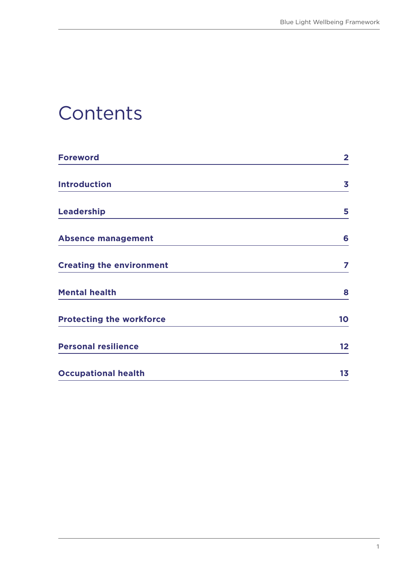#### **Contents**

| <b>Foreword</b>                 | $\overline{\mathbf{2}}$ |
|---------------------------------|-------------------------|
| <b>Introduction</b>             | 3                       |
| <b>Leadership</b>               | 5                       |
| <b>Absence management</b>       | 6                       |
| <b>Creating the environment</b> | 7                       |
| <b>Mental health</b>            | 8                       |
| <b>Protecting the workforce</b> | 10                      |
| <b>Personal resilience</b>      | $12 \,$                 |
| <b>Occupational health</b>      | 1 <sub>3</sub>          |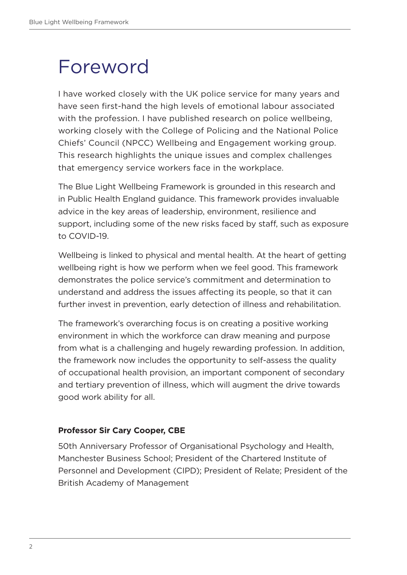#### <span id="page-3-0"></span>Foreword

I have worked closely with the UK police service for many years and have seen first-hand the high levels of emotional labour associated with the profession. I have published research on police wellbeing, working closely with the College of Policing and the National Police Chiefs' Council (NPCC) Wellbeing and Engagement working group. This research highlights the unique issues and complex challenges that emergency service workers face in the workplace.

The Blue Light Wellbeing Framework is grounded in this research and in Public Health England guidance. This framework provides invaluable advice in the key areas of leadership, environment, resilience and support, including some of the new risks faced by staff, such as exposure to COVID-19.

Wellbeing is linked to physical and mental health. At the heart of getting wellbeing right is how we perform when we feel good. This framework demonstrates the police service's commitment and determination to understand and address the issues affecting its people, so that it can further invest in prevention, early detection of illness and rehabilitation.

The framework's overarching focus is on creating a positive working environment in which the workforce can draw meaning and purpose from what is a challenging and hugely rewarding profession. In addition, the framework now includes the opportunity to self-assess the quality of occupational health provision, an important component of secondary and tertiary prevention of illness, which will augment the drive towards good work ability for all.

#### **Professor Sir Cary Cooper, CBE**

50th Anniversary Professor of Organisational Psychology and Health, Manchester Business School; President of the Chartered Institute of Personnel and Development (CIPD); President of Relate; President of the British Academy of Management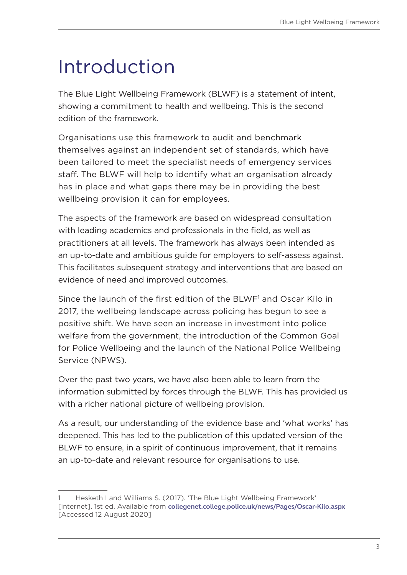# <span id="page-4-0"></span>Introduction

The Blue Light Wellbeing Framework (BLWF) is a statement of intent, showing a commitment to health and wellbeing. This is the second edition of the framework.

Organisations use this framework to audit and benchmark themselves against an independent set of standards, which have been tailored to meet the specialist needs of emergency services staff. The BLWF will help to identify what an organisation already has in place and what gaps there may be in providing the best wellbeing provision it can for employees.

The aspects of the framework are based on widespread consultation with leading academics and professionals in the field, as well as practitioners at all levels. The framework has always been intended as an up-to-date and ambitious guide for employers to self-assess against. This facilitates subsequent strategy and interventions that are based on evidence of need and improved outcomes.

Since the launch of the first edition of the BLWF<sup>1</sup> and Oscar Kilo in 2017, the wellbeing landscape across policing has begun to see a positive shift. We have seen an increase in investment into police welfare from the government, the introduction of the Common Goal for Police Wellbeing and the launch of the National Police Wellbeing Service (NPWS).

Over the past two years, we have also been able to learn from the information submitted by forces through the BLWF. This has provided us with a richer national picture of wellbeing provision.

As a result, our understanding of the evidence base and 'what works' has deepened. This has led to the publication of this updated version of the BLWF to ensure, in a spirit of continuous improvement, that it remains an up-to-date and relevant resource for organisations to use.

<sup>1</sup> Hesketh I and Williams S. (2017). 'The Blue Light Wellbeing Framework' [internet]. 1st ed. Available from **[collegenet.college.police.uk/news/Pages/Oscar-Kilo.aspx](https://collegenet.college.police.uk/news/Pages/Oscar-Kilo.aspx)** [Accessed 12 August 2020]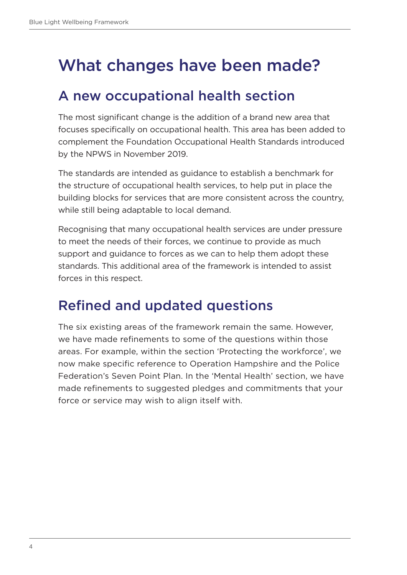#### What changes have been made?

#### A new occupational health section

The most significant change is the addition of a brand new area that focuses specifically on occupational health. This area has been added to complement the Foundation Occupational Health Standards introduced by the NPWS in November 2019.

The standards are intended as guidance to establish a benchmark for the structure of occupational health services, to help put in place the building blocks for services that are more consistent across the country, while still being adaptable to local demand.

Recognising that many occupational health services are under pressure to meet the needs of their forces, we continue to provide as much support and guidance to forces as we can to help them adopt these standards. This additional area of the framework is intended to assist forces in this respect.

#### Refined and updated questions

The six existing areas of the framework remain the same. However, we have made refinements to some of the questions within those areas. For example, within the section 'Protecting the workforce', we now make specific reference to Operation Hampshire and the Police Federation's Seven Point Plan. In the 'Mental Health' section, we have made refinements to suggested pledges and commitments that your force or service may wish to align itself with.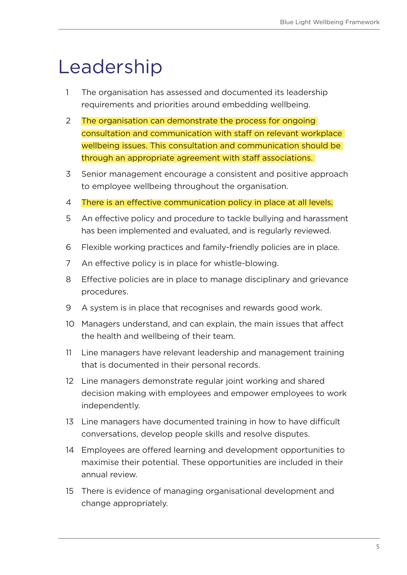### <span id="page-6-0"></span>Leadership

- 1 The organisation has assessed and documented its leadership requirements and priorities around embedding wellbeing.
- 2 The organisation can demonstrate the process for ongoing consultation and communication with staff on relevant workplace wellbeing issues. This consultation and communication should be through an appropriate agreement with staff associations.
- 3 Senior management encourage a consistent and positive approach to employee wellbeing throughout the organisation.
- 4 There is an effective communication policy in place at all levels.
- 5 An effective policy and procedure to tackle bullying and harassment has been implemented and evaluated, and is regularly reviewed.
- 6 Flexible working practices and family-friendly policies are in place.
- 7 An effective policy is in place for whistle-blowing.
- 8 Effective policies are in place to manage disciplinary and grievance procedures.
- 9 A system is in place that recognises and rewards good work.
- 10 Managers understand, and can explain, the main issues that affect the health and wellbeing of their team.
- 11 Line managers have relevant leadership and management training that is documented in their personal records.
- 12 Line managers demonstrate regular joint working and shared decision making with employees and empower employees to work independently.
- 13 Line managers have documented training in how to have difficult conversations, develop people skills and resolve disputes.
- 14 Employees are offered learning and development opportunities to maximise their potential. These opportunities are included in their annual review.
- 15 There is evidence of managing organisational development and change appropriately.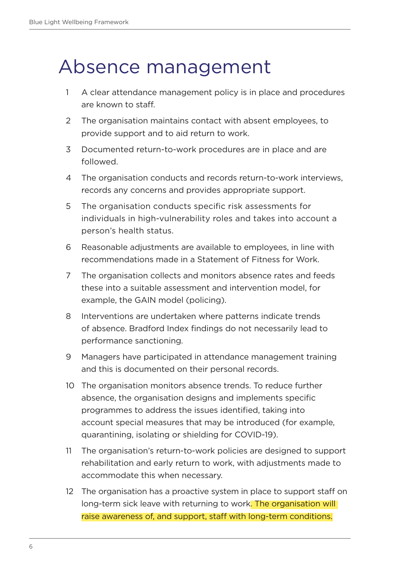#### <span id="page-7-0"></span>Absence management

- 1 A clear attendance management policy is in place and procedures are known to staff.
- 2 The organisation maintains contact with absent employees, to provide support and to aid return to work.
- 3 Documented return-to-work procedures are in place and are followed.
- 4 The organisation conducts and records return-to-work interviews, records any concerns and provides appropriate support.
- 5 The organisation conducts specific risk assessments for individuals in high-vulnerability roles and takes into account a person's health status.
- 6 Reasonable adjustments are available to employees, in line with recommendations made in a Statement of Fitness for Work.
- 7 The organisation collects and monitors absence rates and feeds these into a suitable assessment and intervention model, for example, the GAIN model (policing).
- 8 Interventions are undertaken where patterns indicate trends of absence. Bradford Index findings do not necessarily lead to performance sanctioning.
- 9 Managers have participated in attendance management training and this is documented on their personal records.
- 10 The organisation monitors absence trends. To reduce further absence, the organisation designs and implements specific programmes to address the issues identified, taking into account special measures that may be introduced (for example, quarantining, isolating or shielding for COVID-19).
- 11 The organisation's return-to-work policies are designed to support rehabilitation and early return to work, with adjustments made to accommodate this when necessary.
- 12 The organisation has a proactive system in place to support staff on long-term sick leave with returning to work. The organisation will raise awareness of, and support, staff with long-term conditions.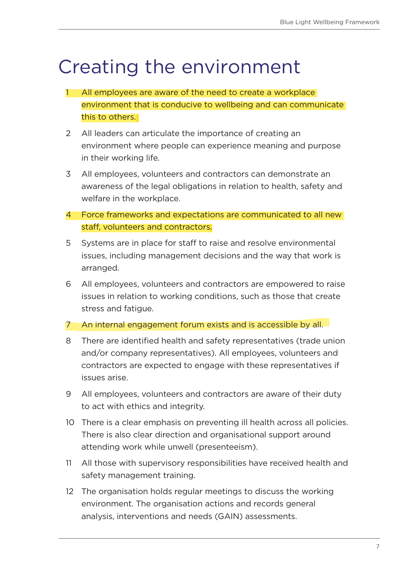### <span id="page-8-0"></span>Creating the environment

- 1 All employees are aware of the need to create a workplace environment that is conducive to wellbeing and can communicate this to others.
- 2 All leaders can articulate the importance of creating an environment where people can experience meaning and purpose in their working life.
- 3 All employees, volunteers and contractors can demonstrate an awareness of the legal obligations in relation to health, safety and welfare in the workplace.
- 4 Force frameworks and expectations are communicated to all new staff, volunteers and contractors.
- 5 Systems are in place for staff to raise and resolve environmental issues, including management decisions and the way that work is arranged.
- 6 All employees, volunteers and contractors are empowered to raise issues in relation to working conditions, such as those that create stress and fatigue.
- 7 An internal engagement forum exists and is accessible by all.
- 8 There are identified health and safety representatives (trade union and/or company representatives). All employees, volunteers and contractors are expected to engage with these representatives if issues arise.
- 9 All employees, volunteers and contractors are aware of their duty to act with ethics and integrity.
- 10 There is a clear emphasis on preventing ill health across all policies. There is also clear direction and organisational support around attending work while unwell (presenteeism).
- 11 All those with supervisory responsibilities have received health and safety management training.
- 12 The organisation holds regular meetings to discuss the working environment. The organisation actions and records general analysis, interventions and needs (GAIN) assessments.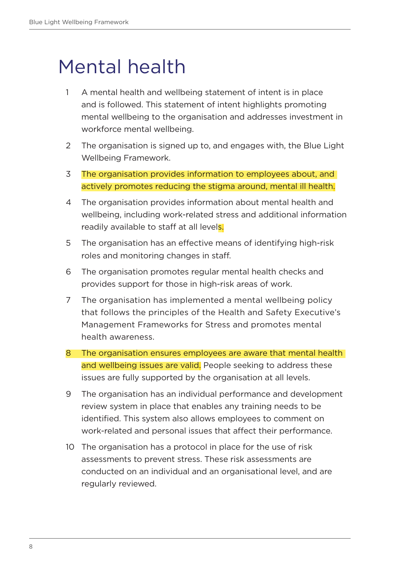# <span id="page-9-0"></span>Mental health

- 1 A mental health and wellbeing statement of intent is in place and is followed. This statement of intent highlights promoting mental wellbeing to the organisation and addresses investment in workforce mental wellbeing.
- 2 The organisation is signed up to, and engages with, the Blue Light Wellbeing Framework.
- 3 The organisation provides information to employees about, and actively promotes reducing the stigma around, mental ill health.
- 4 The organisation provides information about mental health and wellbeing, including work-related stress and additional information readily available to staff at all levels.
- 5 The organisation has an effective means of identifying high-risk roles and monitoring changes in staff.
- 6 The organisation promotes regular mental health checks and provides support for those in high-risk areas of work.
- 7 The organisation has implemented a mental wellbeing policy that follows the principles of the Health and Safety Executive's Management Frameworks for Stress and promotes mental health awareness.
- 8 The organisation ensures employees are aware that mental health and wellbeing issues are valid. People seeking to address these issues are fully supported by the organisation at all levels.
- 9 The organisation has an individual performance and development review system in place that enables any training needs to be identified. This system also allows employees to comment on work-related and personal issues that affect their performance.
- 10 The organisation has a protocol in place for the use of risk assessments to prevent stress. These risk assessments are conducted on an individual and an organisational level, and are regularly reviewed.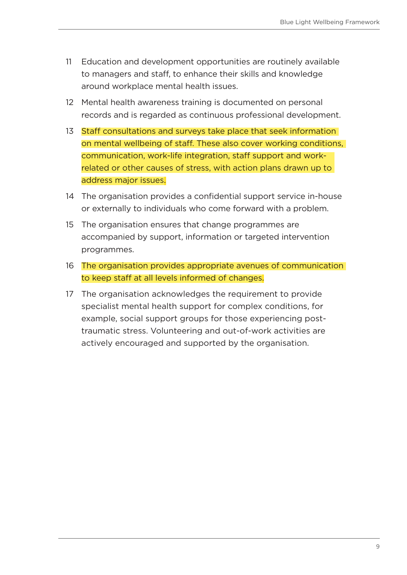- 11 Education and development opportunities are routinely available to managers and staff, to enhance their skills and knowledge around workplace mental health issues.
- 12 Mental health awareness training is documented on personal records and is regarded as continuous professional development.
- 13 Staff consultations and surveys take place that seek information on mental wellbeing of staff. These also cover working conditions, communication, work-life integration, staff support and workrelated or other causes of stress, with action plans drawn up to address major issues.
- 14 The organisation provides a confidential support service in-house or externally to individuals who come forward with a problem.
- 15 The organisation ensures that change programmes are accompanied by support, information or targeted intervention programmes.
- 16 The organisation provides appropriate avenues of communication to keep staff at all levels informed of changes.
- 17 The organisation acknowledges the requirement to provide specialist mental health support for complex conditions, for example, social support groups for those experiencing posttraumatic stress. Volunteering and out-of-work activities are actively encouraged and supported by the organisation.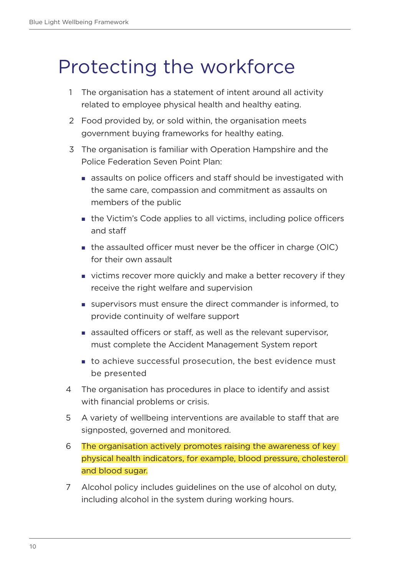### <span id="page-11-0"></span>Protecting the workforce

- 1 The organisation has a statement of intent around all activity related to employee physical health and healthy eating.
- 2 Food provided by, or sold within, the organisation meets government buying frameworks for healthy eating.
- 3 The organisation is familiar with Operation Hampshire and the Police Federation Seven Point Plan:
	- assaults on police officers and staff should be investigated with the same care, compassion and commitment as assaults on members of the public
	- the Victim's Code applies to all victims, including police officers and staff
	- **the assaulted officer must never be the officer in charge (OIC)** for their own assault
	- **victims recover more quickly and make a better recovery if they** receive the right welfare and supervision
	- supervisors must ensure the direct commander is informed, to provide continuity of welfare support
	- **assaulted officers or staff, as well as the relevant supervisor,** must complete the Accident Management System report
	- to achieve successful prosecution, the best evidence must be presented
- 4 The organisation has procedures in place to identify and assist with financial problems or crisis.
- 5 A variety of wellbeing interventions are available to staff that are signposted, governed and monitored.
- 6 The organisation actively promotes raising the awareness of key physical health indicators, for example, blood pressure, cholesterol and blood sugar.
- 7 Alcohol policy includes guidelines on the use of alcohol on duty, including alcohol in the system during working hours.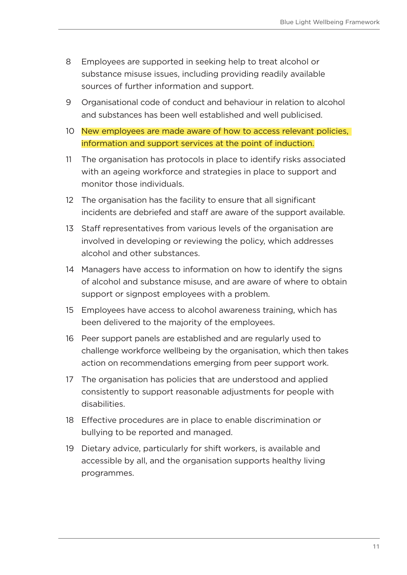- 8 Employees are supported in seeking help to treat alcohol or substance misuse issues, including providing readily available sources of further information and support.
- 9 Organisational code of conduct and behaviour in relation to alcohol and substances has been well established and well publicised.
- 10 New employees are made aware of how to access relevant policies, information and support services at the point of induction.
- 11 The organisation has protocols in place to identify risks associated with an ageing workforce and strategies in place to support and monitor those individuals.
- 12 The organisation has the facility to ensure that all significant incidents are debriefed and staff are aware of the support available.
- 13 Staff representatives from various levels of the organisation are involved in developing or reviewing the policy, which addresses alcohol and other substances.
- 14 Managers have access to information on how to identify the signs of alcohol and substance misuse, and are aware of where to obtain support or signpost employees with a problem.
- 15 Employees have access to alcohol awareness training, which has been delivered to the majority of the employees.
- 16 Peer support panels are established and are regularly used to challenge workforce wellbeing by the organisation, which then takes action on recommendations emerging from peer support work.
- 17 The organisation has policies that are understood and applied consistently to support reasonable adjustments for people with disabilities.
- 18 Effective procedures are in place to enable discrimination or bullying to be reported and managed.
- 19 Dietary advice, particularly for shift workers, is available and accessible by all, and the organisation supports healthy living programmes.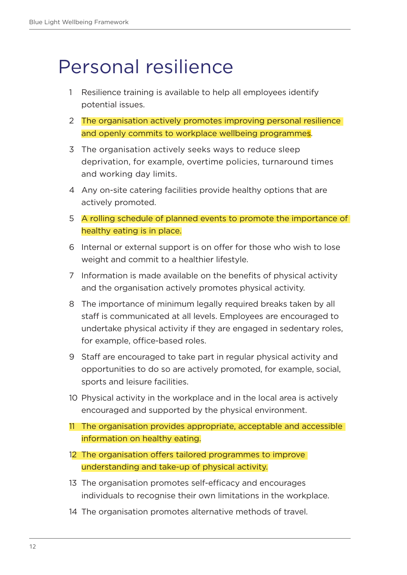#### <span id="page-13-0"></span>Personal resilience

- 1 Resilience training is available to help all employees identify potential issues.
- 2 The organisation actively promotes improving personal resilience and openly commits to workplace wellbeing programmes.
- 3 The organisation actively seeks ways to reduce sleep deprivation, for example, overtime policies, turnaround times and working day limits.
- 4 Any on-site catering facilities provide healthy options that are actively promoted.
- 5 A rolling schedule of planned events to promote the importance of healthy eating is in place.
- 6 Internal or external support is on offer for those who wish to lose weight and commit to a healthier lifestyle.
- 7 Information is made available on the benefits of physical activity and the organisation actively promotes physical activity.
- 8 The importance of minimum legally required breaks taken by all staff is communicated at all levels. Employees are encouraged to undertake physical activity if they are engaged in sedentary roles, for example, office-based roles.
- 9 Staff are encouraged to take part in regular physical activity and opportunities to do so are actively promoted, for example, social, sports and leisure facilities.
- 10 Physical activity in the workplace and in the local area is actively encouraged and supported by the physical environment.
- 11 The organisation provides appropriate, acceptable and accessible information on healthy eating.
- 12 The organisation offers tailored programmes to improve understanding and take-up of physical activity.
- 13 The organisation promotes self-efficacy and encourages individuals to recognise their own limitations in the workplace.
- 14 The organisation promotes alternative methods of travel.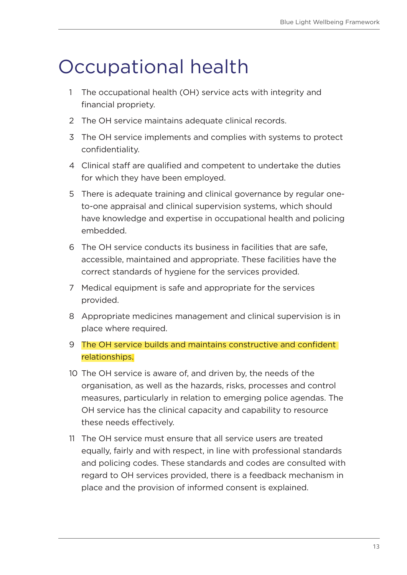### <span id="page-14-0"></span>Occupational health

- 1 The occupational health (OH) service acts with integrity and financial propriety.
- 2 The OH service maintains adequate clinical records.
- 3 The OH service implements and complies with systems to protect confidentiality.
- 4 Clinical staff are qualified and competent to undertake the duties for which they have been employed.
- 5 There is adequate training and clinical governance by regular oneto-one appraisal and clinical supervision systems, which should have knowledge and expertise in occupational health and policing embedded.
- 6 The OH service conducts its business in facilities that are safe, accessible, maintained and appropriate. These facilities have the correct standards of hygiene for the services provided.
- 7 Medical equipment is safe and appropriate for the services provided.
- 8 Appropriate medicines management and clinical supervision is in place where required.
- 9 The OH service builds and maintains constructive and confident relationships.
- 10 The OH service is aware of, and driven by, the needs of the organisation, as well as the hazards, risks, processes and control measures, particularly in relation to emerging police agendas. The OH service has the clinical capacity and capability to resource these needs effectively.
- 11 The OH service must ensure that all service users are treated equally, fairly and with respect, in line with professional standards and policing codes. These standards and codes are consulted with regard to OH services provided, there is a feedback mechanism in place and the provision of informed consent is explained.